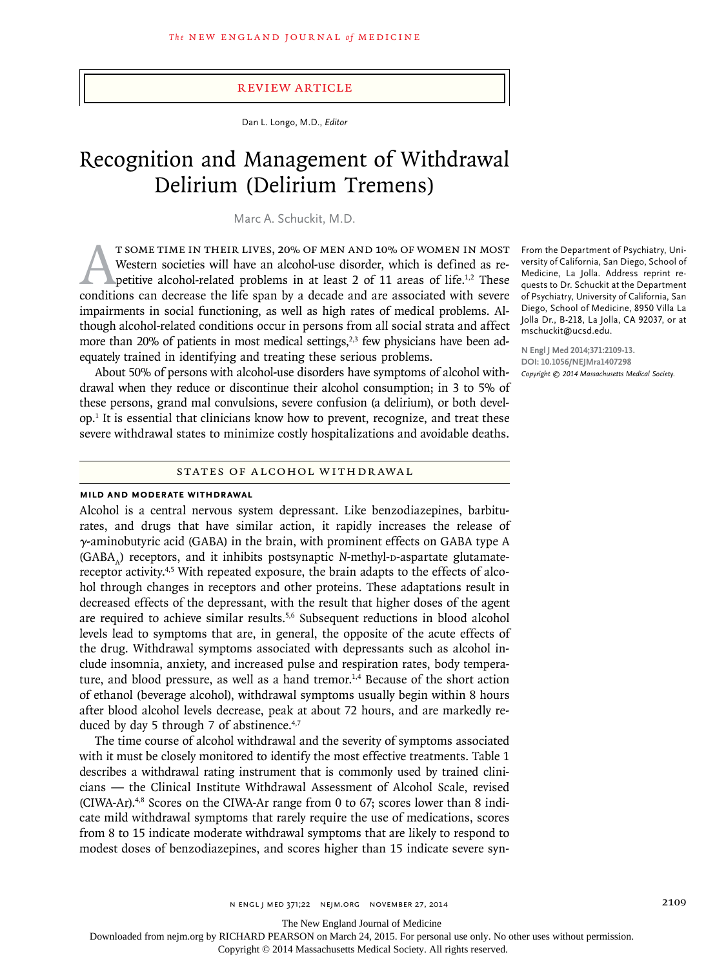## Review Article

Dan L. Longo, M.D., *Editor*

# Recognition and Management of Withdrawal Delirium (Delirium Tremens)

Marc A. Schuckit, M.D.

T SOME TIME IN THEIR LIVES, 20% OF MEN AND 10% OF WOMEN IN MOST Western societies will have an alcohol-use disorder, which is defined as repetitive alcohol-related problems in at least 2 of 11 areas of life.<sup>1,2</sup> These conditions can decrease the life span by a decade and are associated with severe impairments in social functioning, as well as high rates of medical problems. Although alcohol-related conditions occur in persons from all social strata and affect more than 20% of patients in most medical settings, $2,3$  few physicians have been adequately trained in identifying and treating these serious problems.

About 50% of persons with alcohol-use disorders have symptoms of alcohol withdrawal when they reduce or discontinue their alcohol consumption; in 3 to 5% of these persons, grand mal convulsions, severe confusion (a delirium), or both develop.1 It is essential that clinicians know how to prevent, recognize, and treat these severe withdrawal states to minimize costly hospitalizations and avoidable deaths.

# STATES OF ALCOHOL WITHDRAWAL

#### **Mild and Moderate Withdrawal**

Alcohol is a central nervous system depressant. Like benzodiazepines, barbiturates, and drugs that have similar action, it rapidly increases the release of γ-aminobutyric acid (GABA) in the brain, with prominent effects on GABA type A (GABA) receptors, and it inhibits postsynaptic *N*-methyl-D-aspartate glutamatereceptor activity.<sup>4,5</sup> With repeated exposure, the brain adapts to the effects of alcohol through changes in receptors and other proteins. These adaptations result in decreased effects of the depressant, with the result that higher doses of the agent are required to achieve similar results.<sup>5,6</sup> Subsequent reductions in blood alcohol levels lead to symptoms that are, in general, the opposite of the acute effects of the drug. Withdrawal symptoms associated with depressants such as alcohol include insomnia, anxiety, and increased pulse and respiration rates, body temperature, and blood pressure, as well as a hand tremor.<sup>1,4</sup> Because of the short action of ethanol (beverage alcohol), withdrawal symptoms usually begin within 8 hours after blood alcohol levels decrease, peak at about 72 hours, and are markedly reduced by day 5 through 7 of abstinence. $4,7$ 

The time course of alcohol withdrawal and the severity of symptoms associated with it must be closely monitored to identify the most effective treatments. Table 1 describes a withdrawal rating instrument that is commonly used by trained clinicians — the Clinical Institute Withdrawal Assessment of Alcohol Scale, revised  $(CIWA-Ar).48$  Scores on the CIWA-Ar range from 0 to 67; scores lower than 8 indicate mild withdrawal symptoms that rarely require the use of medications, scores from 8 to 15 indicate moderate withdrawal symptoms that are likely to respond to modest doses of benzodiazepines, and scores higher than 15 indicate severe syn-

From the Department of Psychiatry, University of California, San Diego, School of Medicine, La Jolla. Address reprint requests to Dr. Schuckit at the Department of Psychiatry, University of California, San Diego, School of Medicine, 8950 Villa La Jolla Dr., B-218, La Jolla, CA 92037, or at mschuckit@ucsd.edu.

**N Engl J Med 2014;371:2109-13. DOI: 10.1056/NEJMra1407298** *Copyright © 2014 Massachusetts Medical Society.*

The New England Journal of Medicine

Downloaded from nejm.org by RICHARD PEARSON on March 24, 2015. For personal use only. No other uses without permission.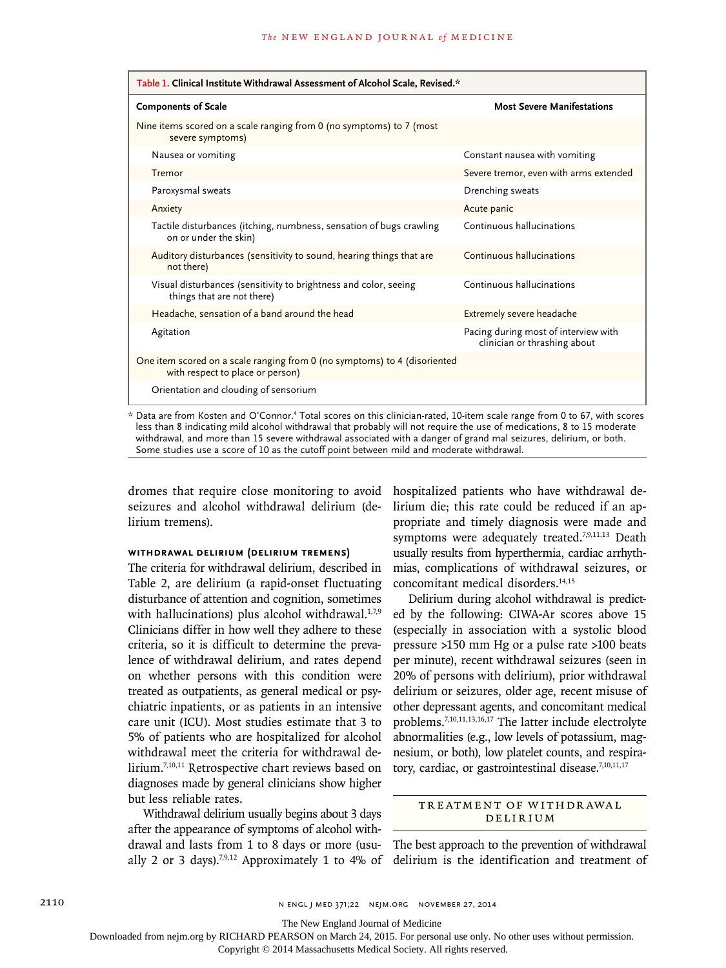| Table 1. Clinical Institute Withdrawal Assessment of Alcohol Scale, Revised.*                                                         |                                                                      |
|---------------------------------------------------------------------------------------------------------------------------------------|----------------------------------------------------------------------|
| <b>Components of Scale</b>                                                                                                            | <b>Most Severe Manifestations</b>                                    |
| Nine items scored on a scale ranging from 0 (no symptoms) to 7 (most<br>severe symptoms)                                              |                                                                      |
| Nausea or vomiting                                                                                                                    | Constant nausea with vomiting                                        |
| Tremor                                                                                                                                | Severe tremor, even with arms extended                               |
| Paroxysmal sweats                                                                                                                     | Drenching sweats                                                     |
| Anxiety                                                                                                                               | Acute panic                                                          |
| Tactile disturbances (itching, numbness, sensation of bugs crawling<br>on or under the skin)                                          | Continuous hallucinations                                            |
| Auditory disturbances (sensitivity to sound, hearing things that are<br>not there)                                                    | Continuous hallucinations                                            |
| Visual disturbances (sensitivity to brightness and color, seeing<br>things that are not there)                                        | Continuous hallucinations                                            |
| Headache, sensation of a band around the head                                                                                         | Extremely severe headache                                            |
| Agitation                                                                                                                             | Pacing during most of interview with<br>clinician or thrashing about |
| One item scored on a scale ranging from 0 (no symptoms) to 4 (disoriented<br>with respect to place or person)                         |                                                                      |
| Orientation and clouding of sensorium                                                                                                 |                                                                      |
| * Data are from Kosten and O'Connor. <sup>4</sup> Total scores on this clinician-rated. 10-item scale range from 0 to 67, with scores |                                                                      |

\* Data are from Kosten and O'Connor.4 Total scores on this clinician-rated, 10-item scale range from 0 to 67, with scores less than 8 indicating mild alcohol withdrawal that probably will not require the use of medications, 8 to 15 moderate withdrawal, and more than 15 severe withdrawal associated with a danger of grand mal seizures, delirium, or both. Some studies use a score of 10 as the cutoff point between mild and moderate withdrawal.

dromes that require close monitoring to avoid seizures and alcohol withdrawal delirium (delirium tremens).

# **Withdrawal Delirium (Delirium Tremens)**

The criteria for withdrawal delirium, described in Table 2, are delirium (a rapid-onset fluctuating disturbance of attention and cognition, sometimes with hallucinations) plus alcohol withdrawal. $1,7,9$ Clinicians differ in how well they adhere to these criteria, so it is difficult to determine the prevalence of withdrawal delirium, and rates depend on whether persons with this condition were treated as outpatients, as general medical or psychiatric inpatients, or as patients in an intensive care unit (ICU). Most studies estimate that 3 to 5% of patients who are hospitalized for alcohol withdrawal meet the criteria for withdrawal delirium.7,10,11 Retrospective chart reviews based on diagnoses made by general clinicians show higher but less reliable rates.

Withdrawal delirium usually begins about 3 days after the appearance of symptoms of alcohol withdrawal and lasts from 1 to 8 days or more (usually 2 or 3 days).<sup>7,9,12</sup> Approximately 1 to 4% of hospitalized patients who have withdrawal delirium die; this rate could be reduced if an appropriate and timely diagnosis were made and symptoms were adequately treated.<sup>7,9,11,13</sup> Death usually results from hyperthermia, cardiac arrhythmias, complications of withdrawal seizures, or concomitant medical disorders.<sup>14,15</sup>

Delirium during alcohol withdrawal is predicted by the following: CIWA-Ar scores above 15 (especially in association with a systolic blood pressure >150 mm Hg or a pulse rate >100 beats per minute), recent withdrawal seizures (seen in 20% of persons with delirium), prior withdrawal delirium or seizures, older age, recent misuse of other depressant agents, and concomitant medical problems.7,10,11,13,16,17 The latter include electrolyte abnormalities (e.g., low levels of potassium, magnesium, or both), low platelet counts, and respiratory, cardiac, or gastrointestinal disease.<sup>7,10,11,17</sup>

# TREATMENT OF WITHDRAWAL **DELIRIUM**

The best approach to the prevention of withdrawal delirium is the identification and treatment of

The New England Journal of Medicine

Downloaded from nejm.org by RICHARD PEARSON on March 24, 2015. For personal use only. No other uses without permission.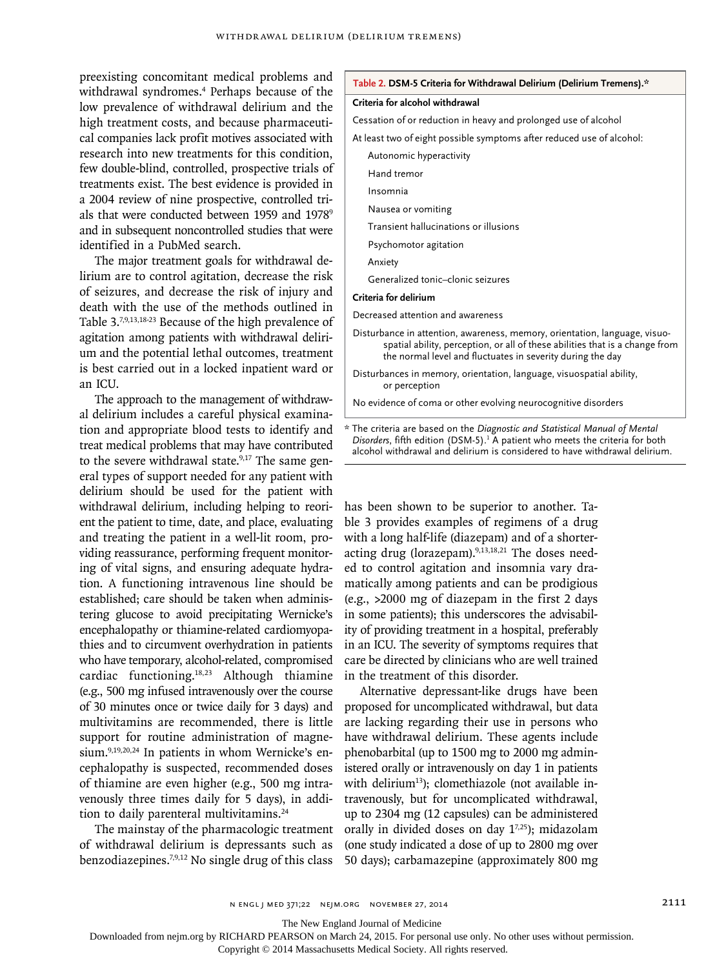preexisting concomitant medical problems and withdrawal syndromes.4 Perhaps because of the low prevalence of withdrawal delirium and the high treatment costs, and because pharmaceutical companies lack profit motives associated with research into new treatments for this condition, few double-blind, controlled, prospective trials of treatments exist. The best evidence is provided in a 2004 review of nine prospective, controlled trials that were conducted between 1959 and 1978<sup>9</sup> and in subsequent noncontrolled studies that were identified in a PubMed search.

The major treatment goals for withdrawal delirium are to control agitation, decrease the risk of seizures, and decrease the risk of injury and death with the use of the methods outlined in Table 3.7,9,13,18-23 Because of the high prevalence of agitation among patients with withdrawal delirium and the potential lethal outcomes, treatment is best carried out in a locked inpatient ward or an ICU.

The approach to the management of withdrawal delirium includes a careful physical examination and appropriate blood tests to identify and treat medical problems that may have contributed to the severe withdrawal state. $9,17$  The same general types of support needed for any patient with delirium should be used for the patient with withdrawal delirium, including helping to reorient the patient to time, date, and place, evaluating and treating the patient in a well-lit room, providing reassurance, performing frequent monitoring of vital signs, and ensuring adequate hydration. A functioning intravenous line should be established; care should be taken when administering glucose to avoid precipitating Wernicke's encephalopathy or thiamine-related cardiomyopathies and to circumvent overhydration in patients who have temporary, alcohol-related, compromised cardiac functioning.18,23 Although thiamine (e.g., 500 mg infused intravenously over the course of 30 minutes once or twice daily for 3 days) and multivitamins are recommended, there is little support for routine administration of magnesium.<sup>9,19,20,24</sup> In patients in whom Wernicke's encephalopathy is suspected, recommended doses of thiamine are even higher (e.g., 500 mg intravenously three times daily for 5 days), in addition to daily parenteral multivitamins.<sup>24</sup>

The mainstay of the pharmacologic treatment of withdrawal delirium is depressants such as benzodiazepines.7,9,12 No single drug of this class

| Table 2. DSM-5 Criteria for Withdrawal Delirium (Delirium Tremens).* |  |
|----------------------------------------------------------------------|--|
|----------------------------------------------------------------------|--|

#### **Criteria for alcohol withdrawal**

Cessation of or reduction in heavy and prolonged use of alcohol

At least two of eight possible symptoms after reduced use of alcohol:

Autonomic hyperactivity

Hand tremor

Insomnia

Nausea or vomiting

Transient hallucinations or illusions

Psychomotor agitation

Anxiety

Generalized tonic–clonic seizures

## **Criteria for delirium**

Decreased attention and awareness

- Disturbance in attention, awareness, memory, orientation, language, visuospatial ability, perception, or all of these abilities that is a change from the normal level and fluctuates in severity during the day
- Disturbances in memory, orientation, language, visuospatial ability, or perception

No evidence of coma or other evolving neurocognitive disorders

\* The criteria are based on the *Diagnostic and Statistical Manual of Mental*  Disorders, fifth edition (DSM-5).<sup>1</sup> A patient who meets the criteria for both alcohol withdrawal and delirium is considered to have withdrawal delirium.

has been shown to be superior to another. Table 3 provides examples of regimens of a drug with a long half-life (diazepam) and of a shorteracting drug (lorazepam).<sup>9,13,18,21</sup> The doses needed to control agitation and insomnia vary dramatically among patients and can be prodigious (e.g., >2000 mg of diazepam in the first 2 days in some patients); this underscores the advisability of providing treatment in a hospital, preferably in an ICU. The severity of symptoms requires that care be directed by clinicians who are well trained in the treatment of this disorder.

Alternative depressant-like drugs have been proposed for uncomplicated withdrawal, but data are lacking regarding their use in persons who have withdrawal delirium. These agents include phenobarbital (up to 1500 mg to 2000 mg administered orally or intravenously on day 1 in patients with delirium<sup>13</sup>); clomethiazole (not available intravenously, but for uncomplicated withdrawal, up to 2304 mg (12 capsules) can be administered orally in divided doses on day  $1^{7,25}$ ); midazolam (one study indicated a dose of up to 2800 mg over 50 days); carbamazepine (approximately 800 mg

The New England Journal of Medicine

Downloaded from nejm.org by RICHARD PEARSON on March 24, 2015. For personal use only. No other uses without permission.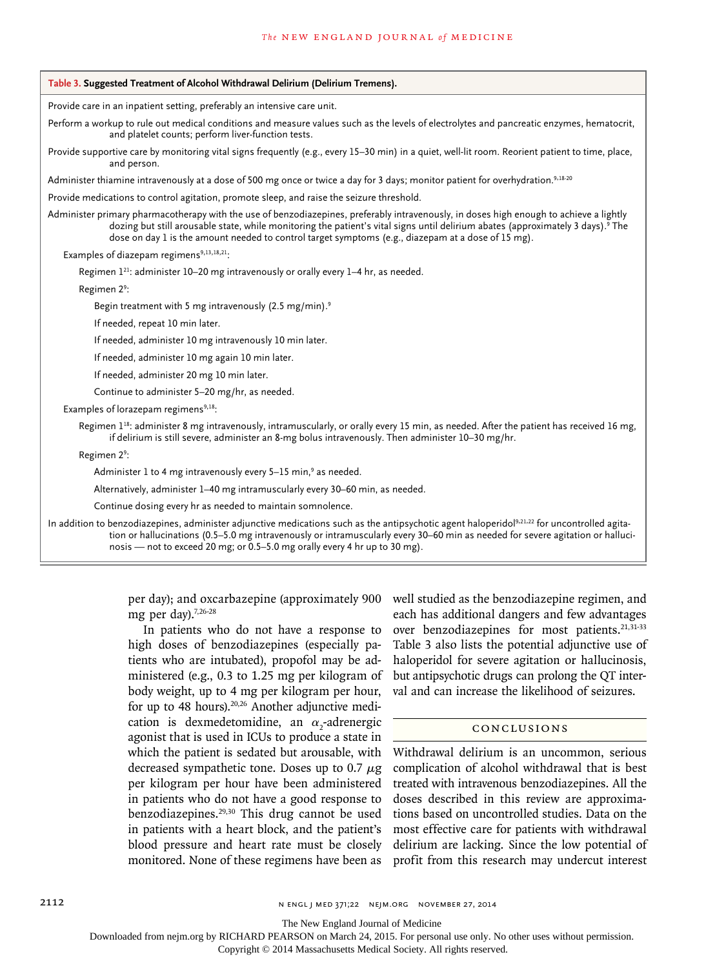# Provide care in an inpatient setting, preferably an intensive care unit. Perform a workup to rule out medical conditions and measure values such as the levels of electrolytes and pancreatic enzymes, hematocrit, and platelet counts; perform liver-function tests. Provide supportive care by monitoring vital signs frequently (e.g., every 15–30 min) in a quiet, well-lit room. Reorient patient to time, place, and person. Administer thiamine intravenously at a dose of 500 mg once or twice a day for 3 days; monitor patient for overhydration.<sup>9,18-20</sup> Provide medications to control agitation, promote sleep, and raise the seizure threshold. Administer primary pharmacotherapy with the use of benzodiazepines, preferably intravenously, in doses high enough to achieve a lightly dozing but still arousable state, while monitoring the patient's vital signs until delirium abates (approximately 3 days).<sup>9</sup> The dose on day 1 is the amount needed to control target symptoms (e.g., diazepam at a dose of 15 mg). Examples of diazepam regimens $9,13,18,21$ : Regimen  $1^{21}$ : administer 10-20 mg intravenously or orally every 1-4 hr, as needed. Regimen 29 : Begin treatment with 5 mg intravenously (2.5 mg/min).<sup>9</sup> If needed, repeat 10 min later. If needed, administer 10 mg intravenously 10 min later. If needed, administer 10 mg again 10 min later. If needed, administer 20 mg 10 min later. Continue to administer 5–20 mg/hr, as needed. Examples of lorazepam regimens<sup>9,18</sup>: Regimen  $1^{18}$ : administer 8 mg intravenously, intramuscularly, or orally every 15 min, as needed. After the patient has received 16 mg, if delirium is still severe, administer an 8-mg bolus intravenously. Then administer 10–30 mg/hr. Regimen 29 : Administer  $1$  to 4 mg intravenously every 5–15 min, $^{\circ}$  as needed. Alternatively, administer 1–40 mg intramuscularly every 30–60 min, as needed. Continue dosing every hr as needed to maintain somnolence. In addition to benzodiazepines, administer adjunctive medications such as the antipsychotic agent haloperidol<sup>9,21,22</sup> for uncontrolled agitation or hallucinations (0.5–5.0 mg intravenously or intramuscularly every 30–60 min as needed for severe agitation or hallucinosis — not to exceed 20 mg; or 0.5–5.0 mg orally every 4 hr up to 30 mg). **Table 3. Suggested Treatment of Alcohol Withdrawal Delirium (Delirium Tremens).**

per day); and oxcarbazepine (approximately 900 mg per day). $7,26-28$ 

In patients who do not have a response to high doses of benzodiazepines (especially patients who are intubated), propofol may be administered (e.g., 0.3 to 1.25 mg per kilogram of body weight, up to 4 mg per kilogram per hour, for up to 48 hours).<sup>20,26</sup> Another adjunctive medication is dexmedetomidine, an  $\alpha_2$ -adrenergic agonist that is used in ICUs to produce a state in which the patient is sedated but arousable, with decreased sympathetic tone. Doses up to 0.7  $\mu$ g per kilogram per hour have been administered in patients who do not have a good response to benzodiazepines.29,30 This drug cannot be used in patients with a heart block, and the patient's blood pressure and heart rate must be closely monitored. None of these regimens have been as

well studied as the benzodiazepine regimen, and each has additional dangers and few advantages over benzodiazepines for most patients.<sup>21,31-33</sup> Table 3 also lists the potential adjunctive use of haloperidol for severe agitation or hallucinosis, but antipsychotic drugs can prolong the QT interval and can increase the likelihood of seizures.

# Conclusions

Withdrawal delirium is an uncommon, serious complication of alcohol withdrawal that is best treated with intravenous benzodiazepines. All the doses described in this review are approximations based on uncontrolled studies. Data on the most effective care for patients with withdrawal delirium are lacking. Since the low potential of profit from this research may undercut interest

The New England Journal of Medicine

Downloaded from nejm.org by RICHARD PEARSON on March 24, 2015. For personal use only. No other uses without permission.